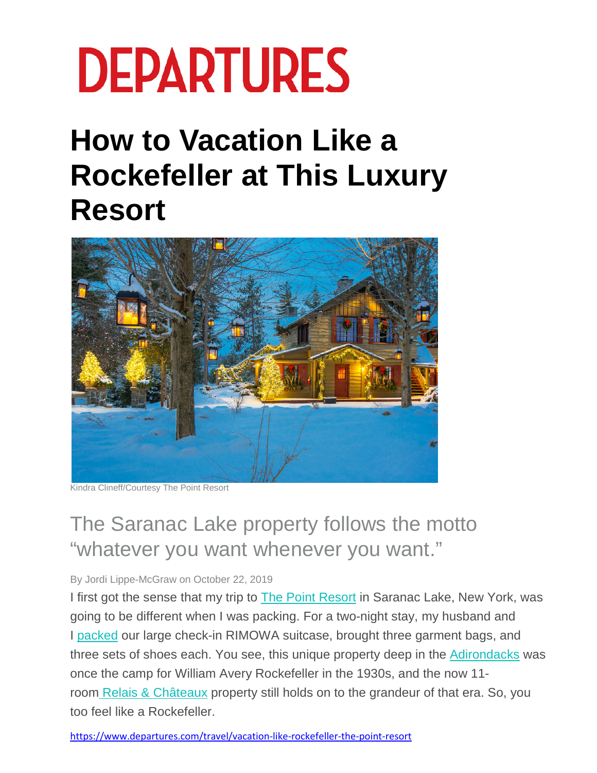## **DEPARTURES**

## **How to Vacation Like a Rockefeller at This Luxury Resort**



Kindra Clineff/Courtesy The Point Resort

## The Saranac Lake property follows the motto "whatever you want whenever you want."

## By Jordi Lippe-McGraw on October 22, 2019

I first got the sense that my trip to **[The Point Resort](https://thepointresort.com/)** in Saranac Lake, New York, was going to be different when I was packing. For a two-night stay, my husband and I [packed](https://departures.com/legend-awards/best-travel-products) our large check-in RIMOWA suitcase, brought three garment bags, and three sets of shoes each. You see, this unique property deep in the [Adirondacks](https://www.departures.com/travel/things-to-do-adirondacks) was once the camp for William Avery Rockefeller in the 1930s, and the now 11 room [Relais & Châteaux](https://www.departures.com/travel/relais-chateaux-sustainable-food) property still holds on to the grandeur of that era. So, you too feel like a Rockefeller.

<https://www.departures.com/travel/vacation-like-rockefeller-the-point-resort>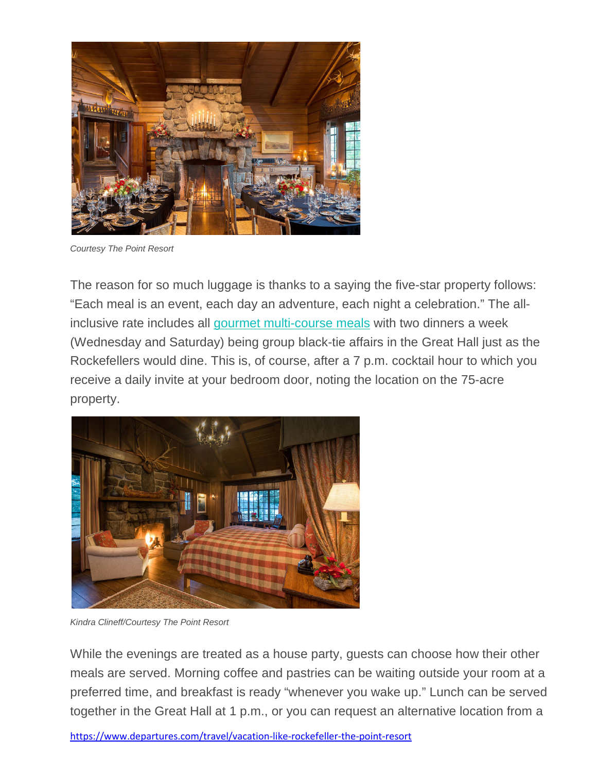

*Courtesy The Point Resort*

The reason for so much luggage is thanks to a saying the five-star property follows: "Each meal is an event, each day an adventure, each night a celebration." The allinclusive rate includes all [gourmet multi-course meals](https://departures.com/legend-awards/best-restaurant-meal#intro) with two dinners a week (Wednesday and Saturday) being group black-tie affairs in the Great Hall just as the Rockefellers would dine. This is, of course, after a 7 p.m. cocktail hour to which you receive a daily invite at your bedroom door, noting the location on the 75-acre property.



*Kindra Clineff/Courtesy The Point Resort*

While the evenings are treated as a house party, guests can choose how their other meals are served. Morning coffee and pastries can be waiting outside your room at a preferred time, and breakfast is ready "whenever you wake up." Lunch can be served together in the Great Hall at 1 p.m., or you can request an alternative location from a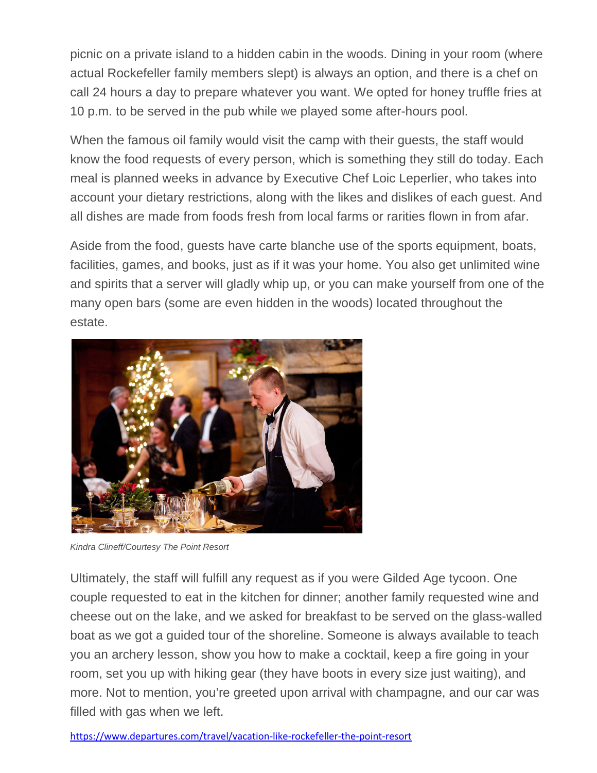picnic on a private island to a hidden cabin in the woods. Dining in your room (where actual Rockefeller family members slept) is always an option, and there is a chef on call 24 hours a day to prepare whatever you want. We opted for honey truffle fries at 10 p.m. to be served in the pub while we played some after-hours pool.

When the famous oil family would visit the camp with their guests, the staff would know the food requests of every person, which is something they still do today. Each meal is planned weeks in advance by Executive Chef Loic Leperlier, who takes into account your dietary restrictions, along with the likes and dislikes of each guest. And all dishes are made from foods fresh from local farms or rarities flown in from afar.

Aside from the food, guests have carte blanche use of the sports equipment, boats, facilities, games, and books, just as if it was your home. You also get unlimited wine and spirits that a server will gladly whip up, or you can make yourself from one of the many open bars (some are even hidden in the woods) located throughout the estate.



*Kindra Clineff/Courtesy The Point Resort*

Ultimately, the staff will fulfill any request as if you were Gilded Age tycoon. One couple requested to eat in the kitchen for dinner; another family requested wine and cheese out on the lake, and we asked for breakfast to be served on the glass-walled boat as we got a guided tour of the shoreline. Someone is always available to teach you an archery lesson, show you how to make a cocktail, keep a fire going in your room, set you up with hiking gear (they have boots in every size just waiting), and more. Not to mention, you're greeted upon arrival with champagne, and our car was filled with gas when we left.